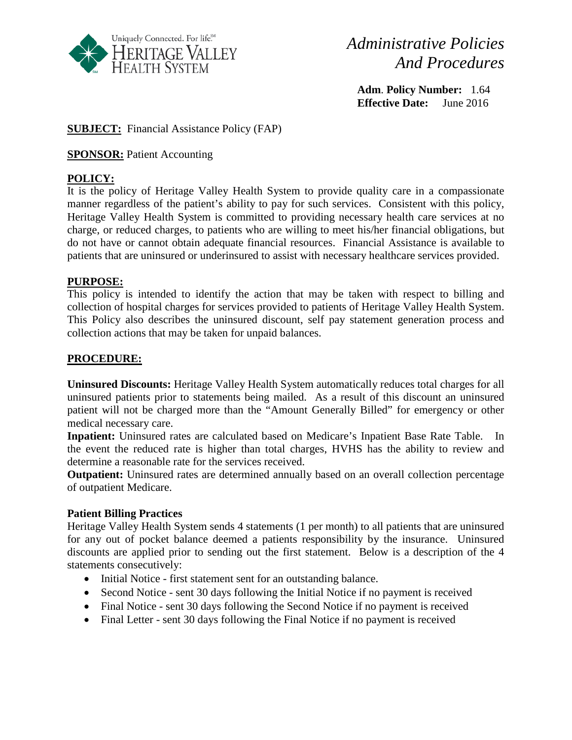

*Administrative Policies And Procedures*

**Adm**. **Policy Number:** 1.64 **Effective Date:** June 2016

# **SUBJECT:** Financial Assistance Policy (FAP)

**SPONSOR:** Patient Accounting

# **POLICY:**

It is the policy of Heritage Valley Health System to provide quality care in a compassionate manner regardless of the patient's ability to pay for such services. Consistent with this policy, Heritage Valley Health System is committed to providing necessary health care services at no charge, or reduced charges, to patients who are willing to meet his/her financial obligations, but do not have or cannot obtain adequate financial resources. Financial Assistance is available to patients that are uninsured or underinsured to assist with necessary healthcare services provided.

## **PURPOSE:**

This policy is intended to identify the action that may be taken with respect to billing and collection of hospital charges for services provided to patients of Heritage Valley Health System. This Policy also describes the uninsured discount, self pay statement generation process and collection actions that may be taken for unpaid balances.

## **PROCEDURE:**

**Uninsured Discounts:** Heritage Valley Health System automatically reduces total charges for all uninsured patients prior to statements being mailed. As a result of this discount an uninsured patient will not be charged more than the "Amount Generally Billed" for emergency or other medical necessary care.

**Inpatient:** Uninsured rates are calculated based on Medicare's Inpatient Base Rate Table. In the event the reduced rate is higher than total charges, HVHS has the ability to review and determine a reasonable rate for the services received.

**Outpatient:** Uninsured rates are determined annually based on an overall collection percentage of outpatient Medicare.

## **Patient Billing Practices**

Heritage Valley Health System sends 4 statements (1 per month) to all patients that are uninsured for any out of pocket balance deemed a patients responsibility by the insurance. Uninsured discounts are applied prior to sending out the first statement. Below is a description of the 4 statements consecutively:

- Initial Notice first statement sent for an outstanding balance.
- Second Notice sent 30 days following the Initial Notice if no payment is received
- Final Notice sent 30 days following the Second Notice if no payment is received
- Final Letter sent 30 days following the Final Notice if no payment is received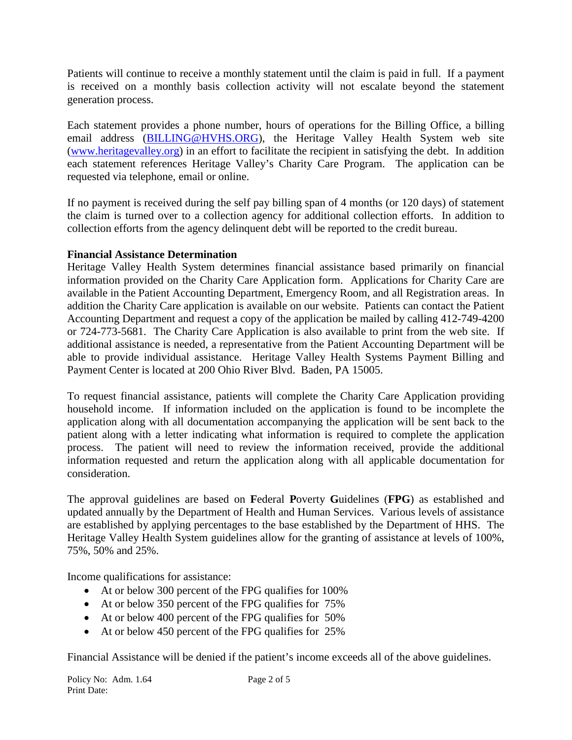Patients will continue to receive a monthly statement until the claim is paid in full. If a payment is received on a monthly basis collection activity will not escalate beyond the statement generation process.

Each statement provides a phone number, hours of operations for the Billing Office, a billing email address [\(BILLING@HVHS.ORG\)](mailto:BILLING@HVHS.ORG), the Heritage Valley Health System web site [\(www.heritagevalley.org\)](http://www.heritagevalley.org/) in an effort to facilitate the recipient in satisfying the debt. In addition each statement references Heritage Valley's Charity Care Program. The application can be requested via telephone, email or online.

If no payment is received during the self pay billing span of 4 months (or 120 days) of statement the claim is turned over to a collection agency for additional collection efforts. In addition to collection efforts from the agency delinquent debt will be reported to the credit bureau.

## **Financial Assistance Determination**

Heritage Valley Health System determines financial assistance based primarily on financial information provided on the Charity Care Application form. Applications for Charity Care are available in the Patient Accounting Department, Emergency Room, and all Registration areas. In addition the Charity Care application is available on our website. Patients can contact the Patient Accounting Department and request a copy of the application be mailed by calling 412-749-4200 or 724-773-5681. The Charity Care Application is also available to print from the web site. If additional assistance is needed, a representative from the Patient Accounting Department will be able to provide individual assistance. Heritage Valley Health Systems Payment Billing and Payment Center is located at 200 Ohio River Blvd. Baden, PA 15005.

To request financial assistance, patients will complete the Charity Care Application providing household income. If information included on the application is found to be incomplete the application along with all documentation accompanying the application will be sent back to the patient along with a letter indicating what information is required to complete the application process. The patient will need to review the information received, provide the additional information requested and return the application along with all applicable documentation for consideration.

The approval guidelines are based on **F**ederal **P**overty **G**uidelines (**FPG**) as established and updated annually by the Department of Health and Human Services. Various levels of assistance are established by applying percentages to the base established by the Department of HHS. The Heritage Valley Health System guidelines allow for the granting of assistance at levels of 100%, 75%, 50% and 25%.

Income qualifications for assistance:

- At or below 300 percent of the FPG qualifies for 100%
- At or below 350 percent of the FPG qualifies for 75%
- At or below 400 percent of the FPG qualifies for 50%
- At or below 450 percent of the FPG qualifies for 25%

Financial Assistance will be denied if the patient's income exceeds all of the above guidelines.

Policy No: Adm. 1.64 Page 2 of 5 Print Date: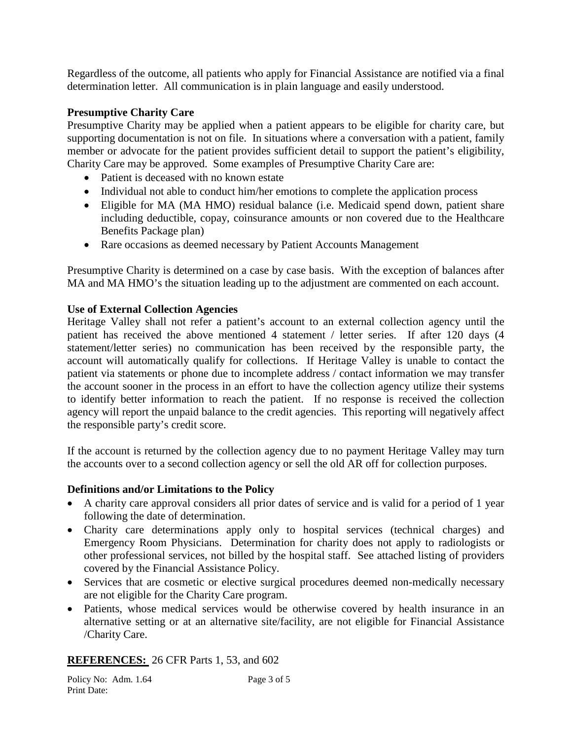Regardless of the outcome, all patients who apply for Financial Assistance are notified via a final determination letter. All communication is in plain language and easily understood.

## **Presumptive Charity Care**

Presumptive Charity may be applied when a patient appears to be eligible for charity care, but supporting documentation is not on file. In situations where a conversation with a patient, family member or advocate for the patient provides sufficient detail to support the patient's eligibility, Charity Care may be approved. Some examples of Presumptive Charity Care are:

- Patient is deceased with no known estate
- Individual not able to conduct him/her emotions to complete the application process
- Eligible for MA (MA HMO) residual balance (i.e. Medicaid spend down, patient share including deductible, copay, coinsurance amounts or non covered due to the Healthcare Benefits Package plan)
- Rare occasions as deemed necessary by Patient Accounts Management

Presumptive Charity is determined on a case by case basis. With the exception of balances after MA and MA HMO's the situation leading up to the adjustment are commented on each account.

### **Use of External Collection Agencies**

Heritage Valley shall not refer a patient's account to an external collection agency until the patient has received the above mentioned 4 statement / letter series. If after 120 days (4 statement/letter series) no communication has been received by the responsible party, the account will automatically qualify for collections. If Heritage Valley is unable to contact the patient via statements or phone due to incomplete address / contact information we may transfer the account sooner in the process in an effort to have the collection agency utilize their systems to identify better information to reach the patient. If no response is received the collection agency will report the unpaid balance to the credit agencies. This reporting will negatively affect the responsible party's credit score.

If the account is returned by the collection agency due to no payment Heritage Valley may turn the accounts over to a second collection agency or sell the old AR off for collection purposes.

### **Definitions and/or Limitations to the Policy**

- A charity care approval considers all prior dates of service and is valid for a period of 1 year following the date of determination.
- Charity care determinations apply only to hospital services (technical charges) and Emergency Room Physicians. Determination for charity does not apply to radiologists or other professional services, not billed by the hospital staff. See attached listing of providers covered by the Financial Assistance Policy.
- Services that are cosmetic or elective surgical procedures deemed non-medically necessary are not eligible for the Charity Care program.
- Patients, whose medical services would be otherwise covered by health insurance in an alternative setting or at an alternative site/facility, are not eligible for Financial Assistance /Charity Care.

### **REFERENCES:** 26 CFR Parts 1, 53, and 602

Policy No: Adm. 1.64 Page 3 of 5 Print Date: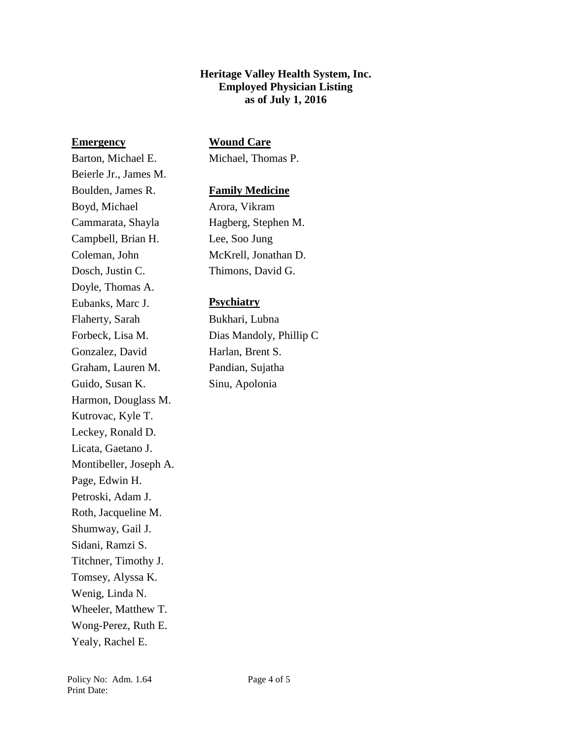### **Heritage Valley Health System, Inc. Employed Physician Listing as of July 1, 2016**

Beierle Jr., James M.

Doyle, Thomas A.

**Emergency Wound Care**

Barton, Michael E. Michael, Thomas P.

## Boulden, James R. **Family Medicine**

Boyd, Michael Arora, Vikram Cammarata, Shayla Hagberg, Stephen M. Campbell, Brian H. Lee, Soo Jung Coleman, John McKrell, Jonathan D. Dosch, Justin C. Thimons, David G.

## Eubanks, Marc J. **Psychiatry**

Flaherty, Sarah Bukhari, Lubna Forbeck, Lisa M. Dias Mandoly, Phillip C Gonzalez, David Harlan, Brent S. Graham, Lauren M. Pandian, Sujatha

Guido, Susan K. Sinu, Apolonia Harmon, Douglass M. Kutrovac, Kyle T. Leckey, Ronald D. Licata, Gaetano J. Montibeller, Joseph A. Page, Edwin H. Petroski, Adam J. Roth, Jacqueline M. Shumway, Gail J. Sidani, Ramzi S. Titchner, Timothy J. Tomsey, Alyssa K. Wenig, Linda N. Wheeler, Matthew T. Wong-Perez, Ruth E. Yealy, Rachel E.